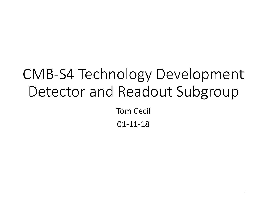#### CMB-S4 Technology Development Detector and Readout Subgroup Tom Cecil 01-11-18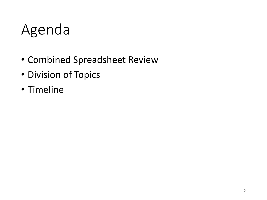#### Agenda

- Combined Spreadsheet Review
- Division of Topics
- Timeline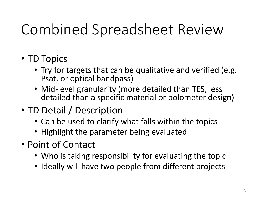# Combined Spreadsheet Review

- TD Topics
	- Try for targets that can be qualitative and verified (e.g. Psat, or optical bandpass)
	- Mid-level granularity (more detailed than TES, less detailed than a specific material or bolometer design)
- TD Detail / Description
	- Can be used to clarify what falls within the topics
	- Highlight the parameter being evaluated
- Point of Contact
	- Who is taking responsibility for evaluating the topic
	- Ideally will have two people from different projects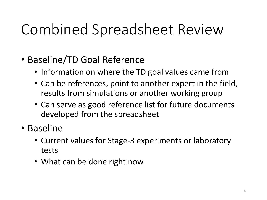## Combined Spreadsheet Review

- Baseline/TD Goal Reference
	- Information on where the TD goal values came from
	- Can be references, point to another expert in the field, results from simulations or another working group
	- Can serve as good reference list for future documents developed from the spreadsheet
- Baseline
	- Current values for Stage-3 experiments or laboratory tests
	- What can be done right now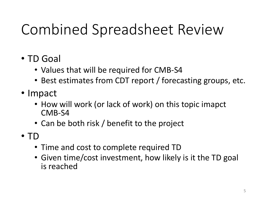# Combined Spreadsheet Review

- TD Goal
	- Values that will be required for CMB-S4
	- Best estimates from CDT report / forecasting groups, etc.
- Impact
	- How will work (or lack of work) on this topic imapct CMB-S4
	- Can be both risk / benefit to the project
- TD
	- Time and cost to complete required TD
	- Given time/cost investment, how likely is it the TD goal is reached